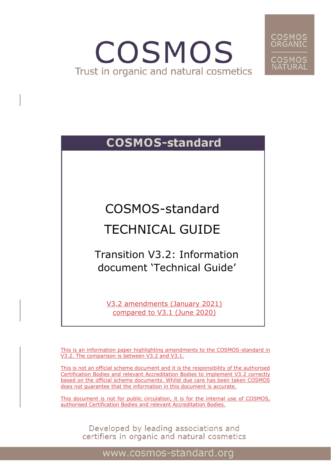# COSMOS Trust in organic and natural cosmetics



### **COSMOS-standard**

COSMOS-standard

## TECHNICAL GUIDE

Transition V3.2: Information document 'Technical Guide'

V3.2 amendments (January 2021) compared to V3.1 (June 2020)

This is an information paper highlighting amendments to the COSMOS-standard in V3.2. The comparison is between V3.2 and V3.1.

This is not an official scheme document and it is the responsibility of the authorised Certification Bodies and relevant Accreditation Bodies to implement V3.2 correctly based on the official scheme documents. Whilst due care has been taken COSMOS does not guarantee that the information in this document is accurate.

This document is not for public circulation, it is for the internal use of COSMOS, authorised Certification Bodies and relevant Accreditation Bodies.

Developed by leading associations and<br>certifiers in organic and natural cosmetics

0

www.cosmos-standard.org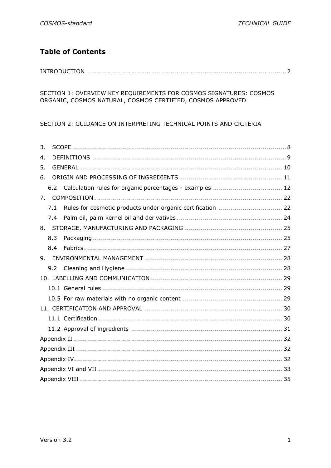### **Table of Contents**

#### 

SECTION 1: OVERVIEW KEY REQUIREMENTS FOR COSMOS SIGNATURES: COSMOS ORGANIC, COSMOS NATURAL, COSMOS CERTIFIED, COSMOS APPROVED

SECTION 2: GUIDANCE ON INTERPRETING TECHNICAL POINTS AND CRITERIA

| 3.                                                                 |  |
|--------------------------------------------------------------------|--|
| 4.                                                                 |  |
| 5.                                                                 |  |
| 6.                                                                 |  |
| Calculation rules for organic percentages - examples  12<br>6.2    |  |
| 7 <sub>1</sub>                                                     |  |
| Rules for cosmetic products under organic certification  22<br>7.1 |  |
| 7.4                                                                |  |
|                                                                    |  |
| 8.3                                                                |  |
| 8.4                                                                |  |
| 9.                                                                 |  |
| 9.2                                                                |  |
|                                                                    |  |
|                                                                    |  |
|                                                                    |  |
|                                                                    |  |
|                                                                    |  |
|                                                                    |  |
|                                                                    |  |
|                                                                    |  |
|                                                                    |  |
|                                                                    |  |
|                                                                    |  |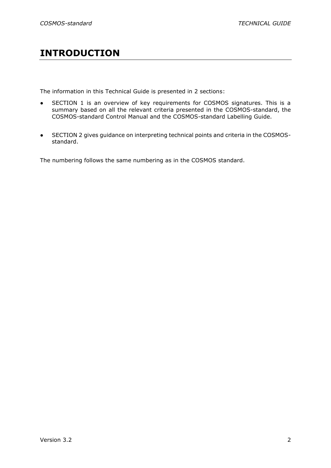### **INTRODUCTION**

The information in this Technical Guide is presented in 2 sections:

- SECTION 1 is an overview of key requirements for COSMOS signatures. This is a summary based on all the relevant criteria presented in the COSMOS-standard, the COSMOS-standard Control Manual and the COSMOS-standard Labelling Guide.
- SECTION 2 gives guidance on interpreting technical points and criteria in the COSMOSstandard.

The numbering follows the same numbering as in the COSMOS standard.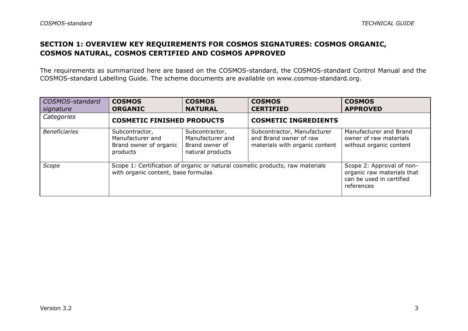#### **SECTION 1: OVERVIEW KEY REQUIREMENTS FOR COSMOS SIGNATURES: COSMOS ORGANIC, COSMOS NATURAL, COSMOS CERTIFIED AND COSMOS APPROVED**

The requirements as summarized here are based on the COSMOS-standard, the COSMOS-standard Control Manual and the COSMOS-standard Labelling Guide. The scheme documents are available on [www.cosmos-standard.org.](http://www.cosmos-standard.org/)

| COSMOS-standard<br>signature | <b>COSMOS</b><br><b>ORGANIC</b>                                          | <b>COSMOS</b><br><b>NATURAL</b>                                          | <b>COSMOS</b><br><b>CERTIFIED</b>                                                       | <b>COSMOS</b><br><b>APPROVED</b>                                                                  |
|------------------------------|--------------------------------------------------------------------------|--------------------------------------------------------------------------|-----------------------------------------------------------------------------------------|---------------------------------------------------------------------------------------------------|
| Categories                   | <b>COSMETIC FINISHED PRODUCTS</b>                                        |                                                                          | <b>COSMETIC INGREDIENTS</b>                                                             |                                                                                                   |
| <b>Beneficiaries</b>         | Subcontractor,<br>Manufacturer and<br>Brand owner of organic<br>products | Subcontractor,<br>Manufacturer and<br>Brand owner of<br>natural products | Subcontractor, Manufacturer<br>and Brand owner of raw<br>materials with organic content | Manufacturer and Brand<br>owner of raw materials<br>without organic content                       |
| Scope                        | with organic content, base formulas                                      |                                                                          | Scope 1: Certification of organic or natural cosmetic products, raw materials           | Scope 2: Approval of non-<br>organic raw materials that<br>can be used in certified<br>references |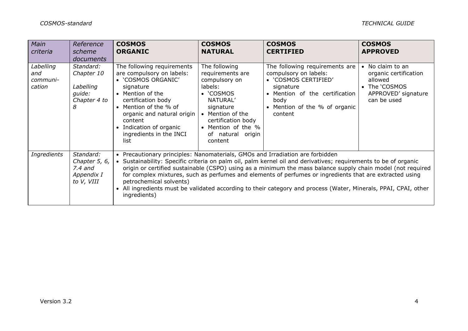| Main<br>criteria                       | Reference<br>scheme                                                 | <b>COSMOS</b><br><b>ORGANIC</b>                                                                                                                                                                                                                                      | <b>COSMOS</b><br><b>NATURAL</b>                                                                                                                                                                     | <b>COSMOS</b><br><b>CERTIFIED</b>                                                                                                                                                                                                                                                                                                                                                                                                                          | <b>COSMOS</b><br><b>APPROVED</b>                                                                            |
|----------------------------------------|---------------------------------------------------------------------|----------------------------------------------------------------------------------------------------------------------------------------------------------------------------------------------------------------------------------------------------------------------|-----------------------------------------------------------------------------------------------------------------------------------------------------------------------------------------------------|------------------------------------------------------------------------------------------------------------------------------------------------------------------------------------------------------------------------------------------------------------------------------------------------------------------------------------------------------------------------------------------------------------------------------------------------------------|-------------------------------------------------------------------------------------------------------------|
|                                        | <i>documents</i>                                                    |                                                                                                                                                                                                                                                                      |                                                                                                                                                                                                     |                                                                                                                                                                                                                                                                                                                                                                                                                                                            |                                                                                                             |
| Labelling<br>and<br>communi-<br>cation | Standard:<br>Chapter 10<br>Labelling<br>quide:<br>Chapter 4 to<br>8 | The following requirements<br>are compulsory on labels:<br>• 'COSMOS ORGANIC'<br>signature<br>• Mention of the<br>certification body<br>• Mention of the % of<br>organic and natural origin<br>content<br>• Indication of organic<br>ingredients in the INCI<br>list | The following<br>requirements are<br>compulsory on<br>labels:<br>• 'COSMOS<br>NATURAL'<br>signature<br>• Mention of the<br>certification body<br>• Mention of the %<br>of natural origin<br>content | The following requirements are<br>compulsory on labels:<br>• 'COSMOS CERTIFIED'<br>signature<br>• Mention of the certification<br>body<br>• Mention of the % of organic<br>content                                                                                                                                                                                                                                                                         | • No claim to an<br>organic certification<br>allowed<br>• The 'COSMOS<br>APPROVED' signature<br>can be used |
| Ingredients                            | Standard:<br>Chapter 5, 6,<br>$7.4$ and<br>Appendix I<br>to V, VIII | • Precautionary principles: Nanomaterials, GMOs and Irradiation are forbidden<br>petrochemical solvents)<br>ingredients)                                                                                                                                             |                                                                                                                                                                                                     | • Sustainability: Specific criteria on palm oil, palm kernel oil and derivatives; requirements to be of organic<br>origin or certified sustainable (CSPO) using as a minimum the mass balance supply chain model (not required<br>for complex mixtures, such as perfumes and elements of perfumes or ingredients that are extracted using<br>All ingredients must be validated according to their category and process (Water, Minerals, PPAI, CPAI, other |                                                                                                             |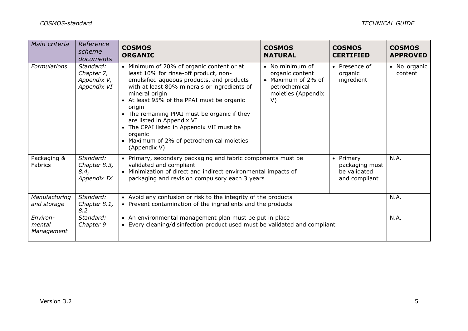| Main criteria                    | Reference<br>scheme<br>documents                      | <b>COSMOS</b><br><b>ORGANIC</b>                                                                                                                                                                                                                                                                                                                                                                                                                           | <b>COSMOS</b><br><b>NATURAL</b>                                                                       | <b>COSMOS</b><br><b>CERTIFIED</b>                            | <b>COSMOS</b><br><b>APPROVED</b> |
|----------------------------------|-------------------------------------------------------|-----------------------------------------------------------------------------------------------------------------------------------------------------------------------------------------------------------------------------------------------------------------------------------------------------------------------------------------------------------------------------------------------------------------------------------------------------------|-------------------------------------------------------------------------------------------------------|--------------------------------------------------------------|----------------------------------|
| Formulations                     | Standard:<br>Chapter 7,<br>Appendix V,<br>Appendix VI | • Minimum of 20% of organic content or at<br>least 10% for rinse-off product, non-<br>emulsified aqueous products, and products<br>with at least 80% minerals or ingredients of<br>mineral origin<br>• At least 95% of the PPAI must be organic<br>origin<br>• The remaining PPAI must be organic if they<br>are listed in Appendix VI<br>• The CPAI listed in Appendix VII must be<br>organic<br>Maximum of 2% of petrochemical moieties<br>(Appendix V) | • No minimum of<br>organic content<br>• Maximum of 2% of<br>petrochemical<br>moieties (Appendix<br>V) | • Presence of<br>organic<br>ingredient                       | • No organic<br>content          |
| Packaging &<br><b>Fabrics</b>    | Standard:<br>Chapter 8.3,<br>8.4,<br>Appendix IX      | • Primary, secondary packaging and fabric components must be<br>validated and compliant<br>• Minimization of direct and indirect environmental impacts of<br>packaging and revision compulsory each 3 years                                                                                                                                                                                                                                               |                                                                                                       | • Primary<br>packaging must<br>be validated<br>and compliant | N.A.                             |
| Manufacturing<br>and storage     | Standard:<br>Chapter 8.1,<br>8.2                      | • Avoid any confusion or risk to the integrity of the products<br>• Prevent contamination of the ingredients and the products                                                                                                                                                                                                                                                                                                                             |                                                                                                       | N.A.                                                         |                                  |
| Environ-<br>mental<br>Management | Standard:<br>Chapter 9                                | • An environmental management plan must be put in place<br>• Every cleaning/disinfection product used must be validated and compliant                                                                                                                                                                                                                                                                                                                     |                                                                                                       |                                                              | N.A.                             |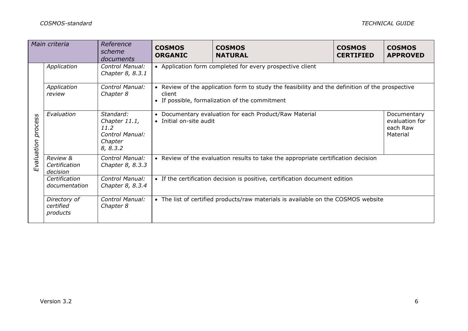| Main criteria<br>Reference<br>scheme<br>documents |                                       |                                                                              | <b>COSMOS</b><br><b>ORGANIC</b>                                                              | <b>COSMOS</b><br><b>NATURAL</b>                                                                                                                   | <b>COSMOS</b><br><b>CERTIFIED</b> | <b>COSMOS</b><br><b>APPROVED</b>                      |  |
|---------------------------------------------------|---------------------------------------|------------------------------------------------------------------------------|----------------------------------------------------------------------------------------------|---------------------------------------------------------------------------------------------------------------------------------------------------|-----------------------------------|-------------------------------------------------------|--|
|                                                   | Application                           | Control Manual:<br>Chapter 8, 8.3.1                                          |                                                                                              | • Application form completed for every prospective client                                                                                         |                                   |                                                       |  |
| process<br>Evaluation                             | Application<br>review                 | Control Manual:<br>Chapter 8                                                 | client                                                                                       | • Review of the application form to study the feasibility and the definition of the prospective<br>• If possible, formalization of the commitment |                                   |                                                       |  |
|                                                   | Evaluation                            | Standard:<br>Chapter 11.1,<br>11.2<br>Control Manual:<br>Chapter<br>8, 8.3.2 | Documentary evaluation for each Product/Raw Material<br>$\bullet$<br>• Initial on-site audit |                                                                                                                                                   |                                   | Documentary<br>evaluation for<br>each Raw<br>Material |  |
|                                                   | Review &<br>Certification<br>decision | Control Manual:<br>Chapter 8, 8.3.3                                          | • Review of the evaluation results to take the appropriate certification decision            |                                                                                                                                                   |                                   |                                                       |  |
|                                                   | Certification<br>documentation        | Control Manual:<br>Chapter 8, 8.3.4                                          | • If the certification decision is positive, certification document edition                  |                                                                                                                                                   |                                   |                                                       |  |
|                                                   | Directory of<br>certified<br>products | Control Manual:<br>Chapter 8                                                 |                                                                                              | • The list of certified products/raw materials is available on the COSMOS website                                                                 |                                   |                                                       |  |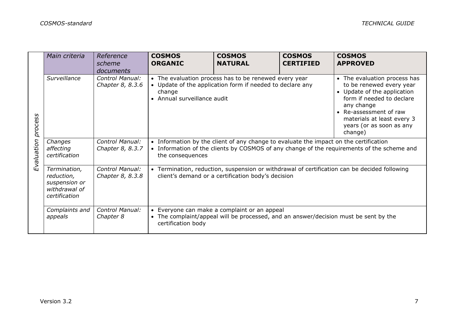|                       | Main criteria                                                                 | Reference<br>scheme<br>documents    | <b>COSMOS</b><br><b>ORGANIC</b>                                                                                                                                                                         | <b>COSMOS</b><br><b>NATURAL</b>                                                                                                      | <b>COSMOS</b><br><b>CERTIFIED</b> | <b>COSMOS</b><br><b>APPROVED</b>                                                                                                                                                                                                  |
|-----------------------|-------------------------------------------------------------------------------|-------------------------------------|---------------------------------------------------------------------------------------------------------------------------------------------------------------------------------------------------------|--------------------------------------------------------------------------------------------------------------------------------------|-----------------------------------|-----------------------------------------------------------------------------------------------------------------------------------------------------------------------------------------------------------------------------------|
| process<br>Evaluation | Surveillance                                                                  | Control Manual:<br>Chapter 8, 8.3.6 | • The evaluation process has to be renewed every year<br>• Update of the application form if needed to declare any<br>change<br>• Annual surveillance audit                                             |                                                                                                                                      |                                   | • The evaluation process has<br>to be renewed every year<br>• Update of the application<br>form if needed to declare<br>any change<br>• Re-assessment of raw<br>materials at least every 3<br>years (or as soon as any<br>change) |
|                       | Changes<br>affecting<br>certification                                         | Control Manual:<br>Chapter 8, 8.3.7 | • Information by the client of any change to evaluate the impact on the certification<br>• Information of the clients by COSMOS of any change of the requirements of the scheme and<br>the consequences |                                                                                                                                      |                                   |                                                                                                                                                                                                                                   |
|                       | Termination,<br>reduction,<br>suspension or<br>withdrawal of<br>certification | Control Manual:<br>Chapter 8, 8.3.8 | • Termination, reduction, suspension or withdrawal of certification can be decided following<br>client's demand or a certification body's decision                                                      |                                                                                                                                      |                                   |                                                                                                                                                                                                                                   |
|                       | Complaints and<br>appeals                                                     | Control Manual:<br>Chapter 8        | certification body                                                                                                                                                                                      | • Everyone can make a complaint or an appeal<br>• The complaint/appeal will be processed, and an answer/decision must be sent by the |                                   |                                                                                                                                                                                                                                   |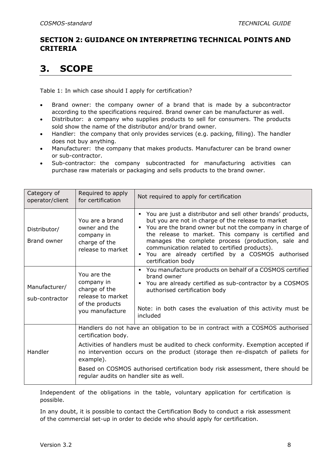#### **SECTION 2: GUIDANCE ON INTERPRETING TECHNICAL POINTS AND CRITERIA**

### <span id="page-8-0"></span>**3. SCOPE**

Table 1: In which case should I apply for certification?

- Brand owner: the company owner of a brand that is made by a subcontractor according to the specifications required. Brand owner can be manufacturer as well.
- Distributor: a company who supplies products to sell for consumers. The products sold show the name of the distributor and/or brand owner.
- Handler: the company that only provides services (e.g. packing, filling). The handler does not buy anything.
- Manufacturer: the company that makes products. Manufacturer can be brand owner or sub-contractor.
- Sub-contractor: the company subcontracted for manufacturing activities can purchase raw materials or packaging and sells products to the brand owner.

| Category of<br>operator/client  | Required to apply<br>for certification                                                                | Not required to apply for certification                                                                                                                                                                                                                                                                                                                                                                                      |
|---------------------------------|-------------------------------------------------------------------------------------------------------|------------------------------------------------------------------------------------------------------------------------------------------------------------------------------------------------------------------------------------------------------------------------------------------------------------------------------------------------------------------------------------------------------------------------------|
| Distributor/<br>Brand owner     | You are a brand<br>owner and the<br>company in<br>charge of the<br>release to market                  | • You are just a distributor and sell other brands' products,<br>but you are not in charge of the release to market<br>• You are the brand owner but not the company in charge of<br>the release to market. This company is certified and<br>manages the complete process (production, sale and<br>communication related to certified products).<br>• You are already certified by a COSMOS authorised<br>certification body |
| Manufacturer/<br>sub-contractor | You are the<br>company in<br>charge of the<br>release to market<br>of the products<br>you manufacture | You manufacture products on behalf of a COSMOS certified<br>brand owner<br>• You are already certified as sub-contractor by a COSMOS<br>authorised certification body<br>Note: in both cases the evaluation of this activity must be<br>included                                                                                                                                                                             |
| Handler                         | certification body.<br>example).<br>regular audits on handler site as well.                           | Handlers do not have an obligation to be in contract with a COSMOS authorised<br>Activities of handlers must be audited to check conformity. Exemption accepted if<br>no intervention occurs on the product (storage then re-dispatch of pallets for<br>Based on COSMOS authorised certification body risk assessment, there should be                                                                                       |

Independent of the obligations in the table, voluntary application for certification is possible.

In any doubt, it is possible to contact the Certification Body to conduct a risk assessment of the commercial set-up in order to decide who should apply for certification.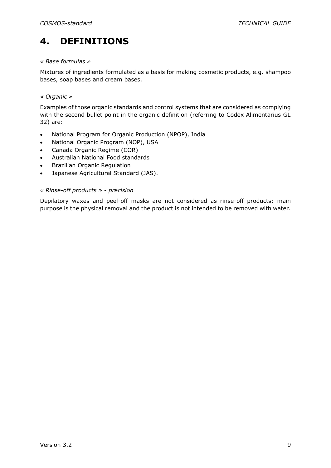### <span id="page-9-0"></span>**4. DEFINITIONS**

#### *« Base formulas »*

Mixtures of ingredients formulated as a basis for making cosmetic products, e.g. shampoo bases, soap bases and cream bases.

#### *« Organic »*

Examples of those organic standards and control systems that are considered as complying with the second bullet point in the organic definition (referring to Codex Alimentarius GL 32) are:

- National Program for Organic Production (NPOP), India
- National Organic Program (NOP), USA
- Canada Organic Regime (COR)
- Australian National Food standards
- Brazilian Organic Regulation
- Japanese Agricultural Standard (JAS).

#### *« Rinse-off products » - precision*

Depilatory waxes and peel-off masks are not considered as rinse-off products: main purpose is the physical removal and the product is not intended to be removed with water.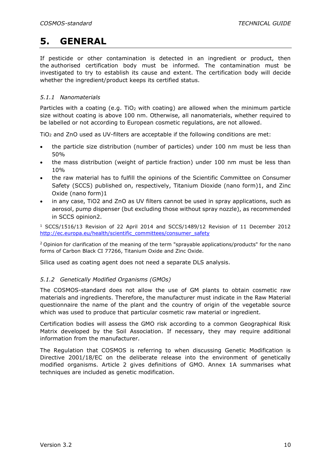### <span id="page-10-0"></span>**5. GENERAL**

If pesticide or other contamination is detected in an ingredient or product, then the authorised certification body must be informed. The contamination must be investigated to try to establish its cause and extent. The certification body will decide whether the ingredient/product keeps its certified status.

#### *5.1.1 Nanomaterials*

Particles with a coating (e.g. TiO<sub>2</sub> with coating) are allowed when the minimum particle size without coating is above 100 nm. Otherwise, all nanomaterials, whether required to be labelled or not according to European cosmetic regulations, are not allowed.

TiO<sup>2</sup> and ZnO used as UV-filters are acceptable if the following conditions are met:

- the particle size distribution (number of particles) under 100 nm must be less than 50%
- the mass distribution (weight of particle fraction) under 100 nm must be less than 10%
- the raw material has to fulfill the opinions of the Scientific Committee on Consumer Safety (SCCS) published on, respectively, Titanium Dioxide (nano form)1, and Zinc Oxide (nano form)1
- in any case, TiO2 and ZnO as UV filters cannot be used in spray applications, such as aerosol, pump dispenser (but excluding those without spray nozzle), as recommended in SCCS opinion2.

<sup>1</sup> SCCS/1516/13 Revision of 22 April 2014 and SCCS/1489/12 Revision of 11 December 2012 [http://ec.europa.eu/health/scientific\\_committees/consumer\\_safety](http://ec.europa.eu/health/scientific_committees/consumer_safety)

<sup>2</sup> Opinion for clarification of the meaning of the term "sprayable applications/products" for the nano forms of Carbon Black CI 77266, Titanium Oxide and Zinc Oxide.

Silica used as coating agent does not need a separate DLS analysis.

#### *5.1.2 Genetically Modified Organisms (GMOs)*

The COSMOS-standard does not allow the use of GM plants to obtain cosmetic raw materials and ingredients. Therefore, the manufacturer must indicate in the Raw Material questionnaire the name of the plant and the country of origin of the vegetable source which was used to produce that particular cosmetic raw material or ingredient.

Certification bodies will assess the GMO risk according to a common Geographical Risk Matrix developed by the Soil Association. If necessary, they may require additional information from the manufacturer.

The Regulation that COSMOS is referring to when discussing Genetic Modification is Directive 2001/18/EC on the deliberate release into the environment of genetically modified organisms. Article 2 gives definitions of GMO. Annex 1A summarises what techniques are included as genetic modification.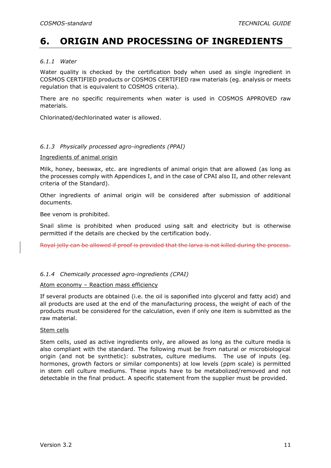### <span id="page-11-0"></span>**6. ORIGIN AND PROCESSING OF INGREDIENTS**

#### *6.1.1 Water*

Water quality is checked by the certification body when used as single ingredient in COSMOS CERTIFIED products or COSMOS CERTIFIED raw materials (eg. analysis or meets regulation that is equivalent to COSMOS criteria).

There are no specific requirements when water is used in COSMOS APPROVED raw materials.

Chlorinated/dechlorinated water is allowed.

#### *6.1.3 Physically processed agro-ingredients (PPAI)*

Ingredients of animal origin

Milk, honey, beeswax, etc. are ingredients of animal origin that are allowed (as long as the processes comply with Appendices I, and in the case of CPAI also II, and other relevant criteria of the Standard).

Other ingredients of animal origin will be considered after submission of additional documents.

Bee venom is prohibited.

Snail slime is prohibited when produced using salt and electricity but is otherwise permitted if the details are checked by the certification body.

Royal jelly can be allowed if proof is provided that the larva is not killed during the process.

#### *6.1.4 Chemically processed agro-ingredients (CPAI)*

#### Atom economy – Reaction mass efficiency

If several products are obtained (i.e. the oil is saponified into glycerol and fatty acid) and all products are used at the end of the manufacturing process, the weight of each of the products must be considered for the calculation, even if only one item is submitted as the raw material.

#### Stem cells

Stem cells, used as active ingredients only, are allowed as long as the culture media is also compliant with the standard. The following must be from natural or microbiological origin (and not be synthetic): substrates, culture mediums. The use of inputs (eg. hormones, growth factors or similar components) at low levels (ppm scale) is permitted in stem cell culture mediums. These inputs have to be metabolized/removed and not detectable in the final product. A specific statement from the supplier must be provided.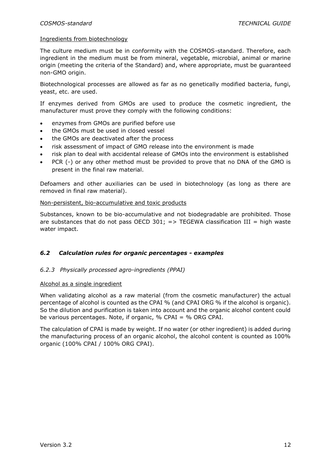#### Ingredients from biotechnology

The culture medium must be in conformity with the COSMOS-standard. Therefore, each ingredient in the medium must be from mineral, vegetable, microbial, animal or marine origin (meeting the criteria of the Standard) and, where appropriate, must be guaranteed non-GMO origin.

Biotechnological processes are allowed as far as no genetically modified bacteria, fungi, yeast, etc. are used.

If enzymes derived from GMOs are used to produce the cosmetic ingredient, the manufacturer must prove they comply with the following conditions:

- enzymes from GMOs are purified before use
- the GMOs must be used in closed vessel
- the GMOs are deactivated after the process
- risk assessment of impact of GMO release into the environment is made
- risk plan to deal with accidental release of GMOs into the environment is established
- PCR (-) or any other method must be provided to prove that no DNA of the GMO is present in the final raw material.

Defoamers and other auxiliaries can be used in biotechnology (as long as there are removed in final raw material).

#### Non-persistent, bio-accumulative and toxic products

Substances, known to be bio-accumulative and not biodegradable are prohibited. Those are substances that do not pass OECD 301;  $\Rightarrow$  TEGEWA classification III = high waste water impact.

#### <span id="page-12-0"></span>*6.2 Calculation rules for organic percentages - examples*

#### *6.2.3 Physically processed agro-ingredients (PPAI)*

#### Alcohol as a single ingredient

When validating alcohol as a raw material (from the cosmetic manufacturer) the actual percentage of alcohol is counted as the CPAI % (and CPAI ORG % if the alcohol is organic). So the dilution and purification is taken into account and the organic alcohol content could be various percentages. Note, if organic, % CPAI = % ORG CPAI.

The calculation of CPAI is made by weight. If no water (or other ingredient) is added during the manufacturing process of an organic alcohol, the alcohol content is counted as 100% organic (100% CPAI / 100% ORG CPAI).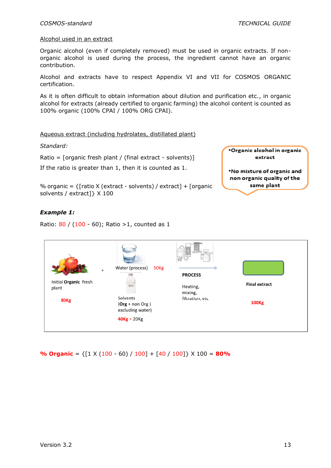#### Alcohol used in an extract

Organic alcohol (even if completely removed) must be used in organic extracts. If nonorganic alcohol is used during the process, the ingredient cannot have an organic contribution.

Alcohol and extracts have to respect Appendix VI and VII for COSMOS ORGANIC certification.

As it is often difficult to obtain information about dilution and purification etc., in organic alcohol for extracts (already certified to organic farming) the alcohol content is counted as 100% organic (100% CPAI / 100% ORG CPAI).

#### Aqueous extract (including hydrolates, distillated plant)

*Standard:*

Ratio = [organic fresh plant / (final extract - solvents)]

If the ratio is greater than 1, then it is counted as 1.



% organic =  $\{$ [ratio X (extract - solvents) / extract] + [organic solvents / extract]} X 100

#### *Example 1:*

Ratio: 80 / (100 - 60); Ratio >1, counted as 1

|                                | Water (process)<br>50 <sub>Kg</sub><br>$\ddot{}$  | <b>PROCESS</b>      |                      |
|--------------------------------|---------------------------------------------------|---------------------|----------------------|
| Initial Organic fresh<br>plant |                                                   | Heating,<br>mixing, | <b>Final extract</b> |
| <b>80Kg</b>                    | Solvents<br>$(Org + non Org)$<br>excluding water) | filtration, etc     | <b>100Kg</b>         |
|                                | $40Kg + 20Kg$                                     |                     |                      |

**% Organic** = {[1 X (100 - 60) / 100] + [40 / 100]} X 100 = **80%**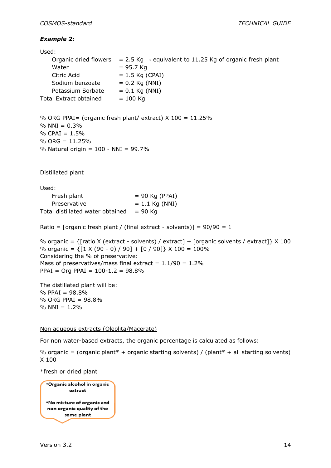#### *Example 2:*

| Used:                  |                                                                        |
|------------------------|------------------------------------------------------------------------|
| Organic dried flowers  | $= 2.5$ Kg $\rightarrow$ equivalent to 11.25 Kg of organic fresh plant |
| Water                  | $= 95.7$ Kg                                                            |
| Citric Acid            | $= 1.5$ Kg (CPAI)                                                      |
| Sodium benzoate        | $= 0.2$ Kg (NNI)                                                       |
| Potassium Sorbate      | $= 0.1$ Kg (NNI)                                                       |
| Total Extract obtained | $= 100$ Kg                                                             |
|                        |                                                                        |

```
% ORG PPAI= (organic fresh plant/ extract) X 100 = 11.25%
% NNI = 0.3%% CPAI = 1.5%
% ORG = 11.25%
% Natural origin = 100 - NNI = 99.7%
```
Distillated plant

Used:  $Fresh$  plant  $= 90$  Kg (PPAI) Preservative  $= 1.1$  Kg (NNI) Total distillated water obtained  $= 90$  Kg

Ratio = [organic fresh plant / (final extract - solvents)] =  $90/90 = 1$ 

```
% organic = \{[ratio X (extract - solvents) / extract] + [organic solvents / extract] \{ X 100
% organic = \{ [ 1 \times (90 - 0) / 90] + [ 0 / 90] \} \times 100 = 100\%Considering the % of preservative:
Mass of preservatives/mass final extract = 1.1/90 = 1.2\%PPAI = Org PPAI = 100-1.2 = 98.8%
```
The distillated plant will be: % PPAI = 98.8% % ORG PPAI = 98.8%  $% NNI = 1.2%$ 

#### Non aqueous extracts (Oleolita/Macerate)

For non water-based extracts, the organic percentage is calculated as follows:

% organic = (organic plant\* + organic starting solvents) / (plant\* + all starting solvents) X 100

\*fresh or dried plant

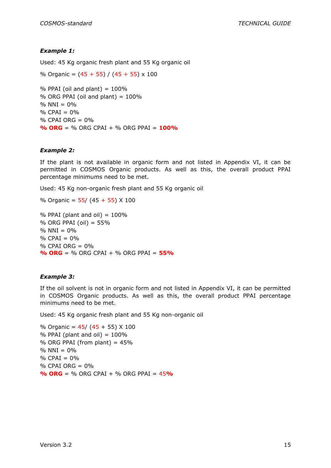#### *Example 1:*

Used: 45 Kg organic fresh plant and 55 Kg organic oil

% Organic =  $(45 + 55) / (45 + 55) \times 100$ 

 $%$  PPAI (oil and plant) =  $100\%$  $%$  ORG PPAI (oil and plant) =  $100\%$  $% NNI = 0%$  $%$  CPAI = 0%  $%$  CPAI ORG =  $0%$ **% ORG** = % ORG CPAI + % ORG PPAI = **100%**

#### *Example 2:*

If the plant is not available in organic form and not listed in Appendix VI, it can be permitted in COSMOS Organic products. As well as this, the overall product PPAI percentage minimums need to be met.

Used: 45 Kg non-organic fresh plant and 55 Kg organic oil

% Organic =  $55/$  (45 + 55) X 100

% PPAI (plant and oil)  $= 100\%$  $%$  ORG PPAI (oil) = 55%  $% NNI = 0%$  $%$  CPAI = 0%  $%$  CPAI ORG =  $0\%$ **% ORG** = % ORG CPAI + % ORG PPAI = **55%**

#### *Example 3:*

If the oil solvent is not in organic form and not listed in Appendix VI, it can be permitted in COSMOS Organic products. As well as this, the overall product PPAI percentage minimums need to be met.

Used: 45 Kg organic fresh plant and 55 Kg non-organic oil

% Organic =  $45/$  ( $45 + 55$ ) X 100  $%$  PPAI (plant and oil) =  $100\%$ % ORG PPAI (from plant) =  $45%$  $% NNI = 0%$  $%$  CPAI =  $0\%$ % CPAI ORG = 0% **% ORG** = % ORG CPAI + % ORG PPAI = 45**%**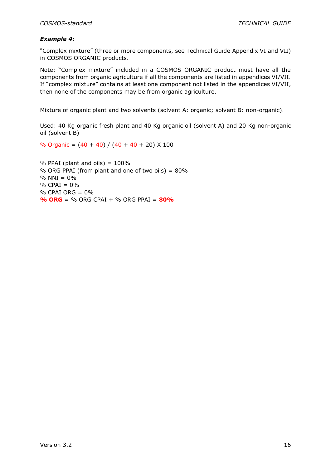#### *Example 4:*

"Complex mixture" (three or more components, see Technical Guide Appendix VI and VII) in COSMOS ORGANIC products.

Note: "Complex mixture" included in a COSMOS ORGANIC product must have all the components from organic agriculture if all the components are listed in appendices VI/VII. If "complex mixture" contains at least one component not listed in the appendices VI/VII, then none of the components may be from organic agriculture.

Mixture of organic plant and two solvents (solvent A: organic; solvent B: non-organic).

Used: 40 Kg organic fresh plant and 40 Kg organic oil (solvent A) and 20 Kg non-organic oil (solvent B)

% Organic =  $(40 + 40) / (40 + 40 + 20)$  X 100

 $%$  PPAI (plant and oils) = 100% % ORG PPAI (from plant and one of two oils) =  $80\%$  $% NNI = 0%$  $%$  CPAI =  $0\%$  $%$  CPAI ORG =  $0\%$ **% ORG** = % ORG CPAI + % ORG PPAI = **80%**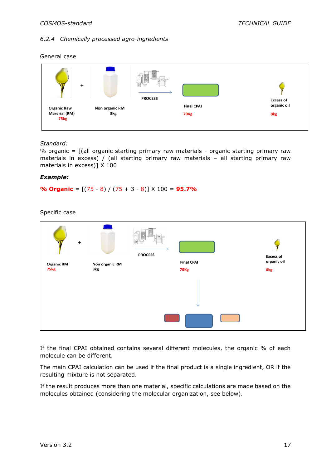#### *6.2.4 Chemically processed agro-ingredients*

#### General case



#### *Standard:*

% organic = [(all organic starting primary raw materials - organic starting primary raw materials in excess) / (all starting primary raw materials – all starting primary raw materials in excess)] X 100

#### *Example:*

**% Organic** = [(75 - 8) / (75 + 3 - 8)] X 100 = **95.7%**

Specific case



If the final CPAI obtained contains several different molecules, the organic % of each molecule can be different.

The main CPAI calculation can be used if the final product is a single ingredient, OR if the resulting mixture is not separated.

If the result produces more than one material, specific calculations are made based on the molecules obtained (considering the molecular organization, see below).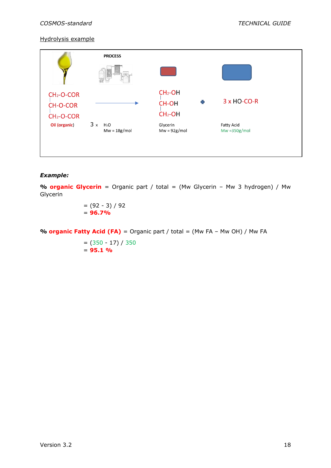#### Hydrolysis example



#### *Example:*

**% organic Glycerin** = Organic part / total = (Mw Glycerin – Mw 3 hydrogen) / Mw Glycerin

> $= (92 - 3) / 92$ = **96.7%**

**% organic Fatty Acid (FA)** = Organic part / total = (Mw FA – Mw OH) / Mw FA

 $= (350 - 17) / 350$ = **95.1 %**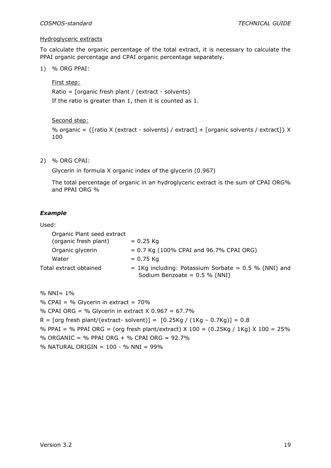#### Hydroglyceric extracts

To calculate the organic percentage of the total extract, it is necessary to calculate the PPAI organic percentage and CPAI organic percentage separately.

1) % ORG PPAI:

First step:

Ratio = [organic fresh plant / (extract - solvents) If the ratio is greater than 1, then it is counted as 1.

Second step:

% organic =  $\{$ [ratio X (extract - solvents) / extract] + [organic solvents / extract]} X 100

2) % ORG CPAI:

Glycerin in formula X organic index of the glycerin (0.967)

The total percentage of organic in an hydroglyceric extract is the sum of CPAI ORG% and PPAI ORG %

#### *Example*

#### Used:

| Organic Plant seed extract |                                                                                            |
|----------------------------|--------------------------------------------------------------------------------------------|
| (organic fresh plant)      | $= 0.25$ Kg                                                                                |
| Organic glycerin           | $= 0.7$ Kg (100% CPAI and 96.7% CPAI ORG)                                                  |
| Water                      | $= 0.75$ Kg                                                                                |
| Total extract obtained     | $= 1$ Kg including: Potassium Sorbate = 0.5 % (NNI) and<br>Sodium Benzoate = $0.5$ % (NNI) |

 $% NNI = 1%$ % CPAI = % Glycerin in extract =  $70\%$ % CPAI ORG = % Glycerin in extract  $X$  0.967 = 67.7%  $R = \text{[org fresh plant/(extract- solvent)} = \text{[0.25Kg / (1Kg - 0.7Kg)]} = 0.8$ % PPAI = % PPAI ORG = (org fresh plant/extract)  $X$  100 = (0.25Kg / 1Kg)  $X$  100 = 25% % ORGANIC = % PPAI ORG + % CPAI ORG =  $92.7\%$ % NATURAL ORIGIN = 100 - % NNI = 99%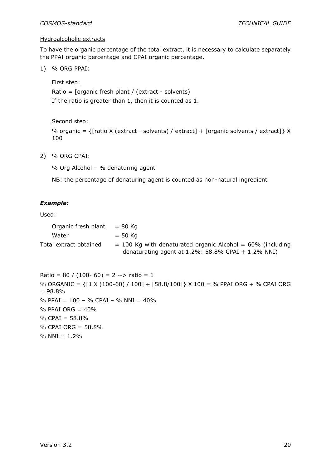#### Hydroalcoholic extracts

To have the organic percentage of the total extract, it is necessary to calculate separately the PPAI organic percentage and CPAI organic percentage.

1) % ORG PPAI:

First step:

Ratio = [organic fresh plant / (extract - solvents) If the ratio is greater than 1, then it is counted as 1.

Second step:

% organic =  $\{$ [ratio X (extract - solvents) / extract] + [organic solvents / extract]} X 100

2) % ORG CPAI:

% Org Alcohol – % denaturing agent

NB: the percentage of denaturing agent is counted as non-natural ingredient

#### *Example:*

Used:

| Organic fresh plant $= 80$ Kg |                                                                |
|-------------------------------|----------------------------------------------------------------|
| Water                         | $= 50$ Kg                                                      |
| Total extract obtained        | $=$ 100 Kg with denaturated organic Alcohol $=$ 60% (including |
|                               | denaturating agent at $1.2\%$ : 58.8% CPAI + 1.2% NNI)         |

```
Ratio = 80 / (100 - 60) = 2 \rightarrow ratio = 1
% ORGANIC = {[1 X (100-60) / 100] + [58.8/100]} X 100 = % PPAI ORG + % CPAI ORG 
= 98.8%
% PPAI = 100 – % CPAI – % NNI = 40%
% PPAI ORG = 40%
% CPAI = 58.8%
% CPAI ORG = 58.8%
% NNI = 1.2%
```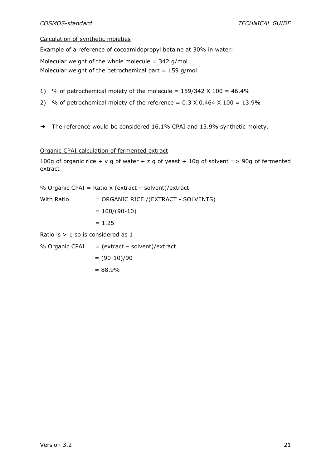#### Calculation of synthetic moieties

Example of a reference of cocoamidopropyl betaine at 30% in water:

Molecular weight of the whole molecule =  $342$  g/mol

Molecular weight of the petrochemical part =  $159$  g/mol

- 1) % of petrochemical moiety of the molecule =  $159/342 \times 100 = 46.4\%$
- 2) % of petrochemical moiety of the reference  $= 0.3 \times 0.464 \times 100 = 13.9\%$
- → The reference would be considered 16.1% CPAI and 13.9% synthetic moiety.

#### Organic CPAI calculation of fermented extract

100g of organic rice + y g of water + z g of yeast + 10g of solvent => 90g of fermented extract

% Organic CPAI = Ratio x (extract - solvent)/extract

With Ratio = ORGANIC RICE /(EXTRACT - SOLVENTS)  $= 100/(90-10)$  $= 1.25$ Ratio is  $> 1$  so is considered as  $1$ 

% Organic CPAI  $=$  (extract – solvent)/extract  $= (90-10)/90$ 

 $= 88.9%$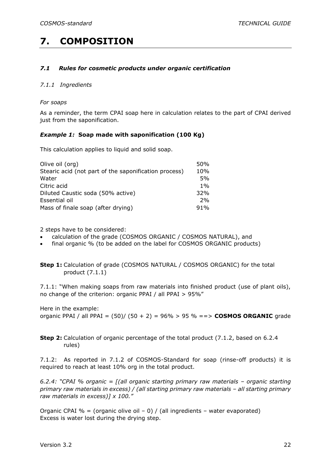### <span id="page-22-1"></span><span id="page-22-0"></span>**7. COMPOSITION**

#### *7.1 Rules for cosmetic products under organic certification*

#### *7.1.1 Ingredients*

#### *For soaps*

As a reminder, the term CPAI soap here in calculation relates to the part of CPAI derived just from the saponification.

#### *Example 1:* **Soap made with saponification (100 Kg)**

This calculation applies to liquid and solid soap.

| Olive oil (org)                                       | 50%   |
|-------------------------------------------------------|-------|
| Stearic acid (not part of the saponification process) | 10%   |
| Water                                                 | 5%    |
| Citric acid                                           | $1\%$ |
| Diluted Caustic soda (50% active)                     | 32%   |
| Essential oil                                         | 2%    |
| Mass of finale soap (after drying)                    | 91%   |

2 steps have to be considered:

- calculation of the grade (COSMOS ORGANIC / COSMOS NATURAL), and
- final organic % (to be added on the label for COSMOS ORGANIC products)

**Step 1:** Calculation of grade (COSMOS NATURAL / COSMOS ORGANIC) for the total product (7.1.1)

7.1.1: "When making soaps from raw materials into finished product (use of plant oils), no change of the criterion: organic PPAI / all PPAI > 95%"

Here in the example: organic PPAI / all PPAI = (50)/ (50 + 2) = 96% > 95 % ==> **COSMOS ORGANIC** grade

**Step 2:** Calculation of organic percentage of the total product (7.1.2, based on 6.2.4 rules)

7.1.2: As reported in 7.1.2 of COSMOS-Standard for soap (rinse-off products) it is required to reach at least 10% org in the total product.

*6.2.4: "CPAI % organic = [(all organic starting primary raw materials – organic starting*  primary raw materials in excess) / (all starting primary raw materials - all starting primary *raw materials in excess)] x 100."*

Organic CPAI % = (organic olive oil  $-$  0) / (all ingredients – water evaporated) Excess is water lost during the drying step.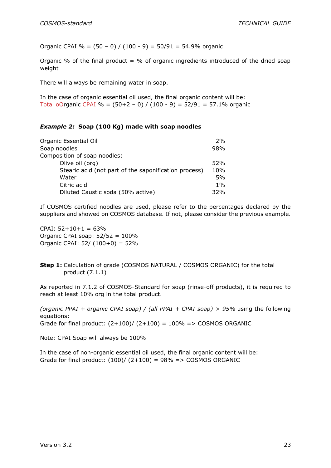Organic CPAI % =  $(50 - 0) / (100 - 9) = 50/91 = 54.9%$  organic

Organic % of the final product = % of organic ingredients introduced of the dried soap weight

There will always be remaining water in soap.

In the case of organic essential oil used, the final organic content will be: Total oOrganic CPAI % =  $(50+2 - 0)$  /  $(100 - 9) = 52/91 = 57.1%$  organic

#### *Example 2:* **Soap (100 Kg) made with soap noodles**

| Organic Essential Oil                                 | 2%    |
|-------------------------------------------------------|-------|
| Soap noodles                                          | 98%   |
| Composition of soap noodles:                          |       |
| Olive oil (org)                                       | 52%   |
| Stearic acid (not part of the saponification process) | 10%   |
| Water                                                 | 5%    |
| Citric acid                                           | $1\%$ |
| Diluted Caustic soda (50% active)                     | 32%   |

If COSMOS certified noodles are used, please refer to the percentages declared by the suppliers and showed on COSMOS database. If not, please consider the previous example.

 $CPAI: 52+10+1 = 63%$ Organic CPAI soap:  $52/52 = 100\%$ Organic CPAI:  $52/ (100+0) = 52\%$ 

**Step 1:** Calculation of grade (COSMOS NATURAL / COSMOS ORGANIC) for the total product (7.1.1)

As reported in 7.1.2 of COSMOS-Standard for soap (rinse-off products), it is required to reach at least 10% org in the total product.

*(organic PPAI + organic CPAI soap) / (all PPAI + CPAI soap) > 95%* using the following equations: Grade for final product:  $(2+100)/(2+100) = 100\% = > \text{COSMOS ORGANIC}$ 

Note: CPAI Soap will always be 100%

In the case of non-organic essential oil used, the final organic content will be: Grade for final product:  $(100) / (2+100) = 98\% = > \text{COSMOS ORGANIC}$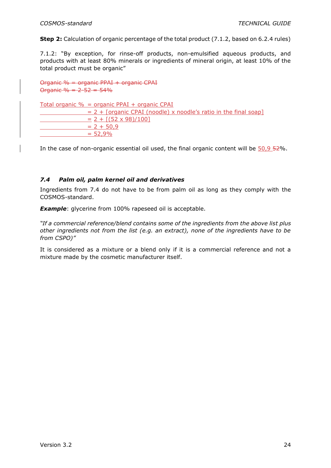**Step 2:** Calculation of organic percentage of the total product (7.1.2, based on 6.2.4 rules)

7.1.2: "By exception, for rinse-off products, non-emulsified aqueous products, and products with at least 80% minerals or ingredients of mineral origin, at least 10% of the total product must be organic"

Organic % = organic PPAI + organic CPAI Organic  $% = 2 - 52 = 54%$ 

Total organic % = organic PPAI + organic CPAI  $= 2 +$  [organic CPAI (noodle) x noodle's ratio in the final soap]  $= 2 + [(52 \times 98)/100]$  $= 2 + 50.9$  $= 52,9%$ 

<span id="page-24-0"></span>In the case of non-organic essential oil used, the final organic content will be  $\frac{50.9}{52\%}$ .

#### *7.4 Palm oil, palm kernel oil and derivatives*

Ingredients from 7.4 do not have to be from palm oil as long as they comply with the COSMOS-standard.

**Example**: glycerine from 100% rapeseed oil is acceptable.

*"If a commercial reference/blend contains some of the ingredients from the above list plus other ingredients not from the list (e.g. an extract), none of the ingredients have to be from CSPO)"*

It is considered as a mixture or a blend only if it is a commercial reference and not a mixture made by the cosmetic manufacturer itself.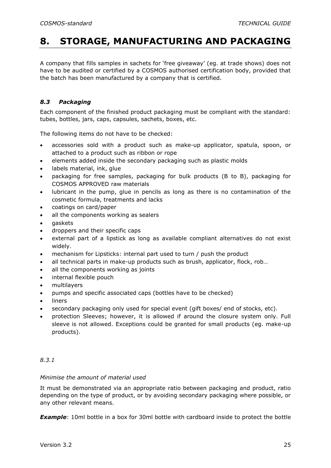### <span id="page-25-0"></span>**8. STORAGE, MANUFACTURING AND PACKAGING**

A company that fills samples in sachets for 'free giveaway' (eg. at trade shows) does not have to be audited or certified by a COSMOS authorised certification body, provided that the batch has been manufactured by a company that is certified.

#### <span id="page-25-1"></span>*8.3 Packaging*

Each component of the finished product packaging must be compliant with the standard: tubes, bottles, jars, caps, capsules, sachets, boxes, etc.

The following items do not have to be checked:

- accessories sold with a product such as make-up applicator, spatula, spoon, or attached to a product such as ribbon or rope
- elements added inside the secondary packaging such as plastic molds
- labels material, ink, glue
- packaging for free samples, packaging for bulk products (B to B), packaging for COSMOS APPROVED raw materials
- lubricant in the pump, glue in pencils as long as there is no contamination of the cosmetic formula, treatments and lacks
- coatings on card/paper
- all the components working as sealers
- gaskets
- droppers and their specific caps
- external part of a lipstick as long as available compliant alternatives do not exist widely.
- mechanism for Lipsticks: internal part used to turn / push the product
- all technical parts in make-up products such as brush, applicator, flock, rob...
- all the components working as joints
- internal flexible pouch
- multilayers
- pumps and specific associated caps (bottles have to be checked)
- **liners**
- secondary packaging only used for special event (gift boxes/ end of stocks, etc).
- protection Sleeves; however, it is allowed if around the closure system only. Full sleeve is not allowed. Exceptions could be granted for small products (eg. make-up products).

#### *8.3.1*

#### *Minimise the amount of material used*

It must be demonstrated via an appropriate ratio between packaging and product, ratio depending on the type of product, or by avoiding secondary packaging where possible, or any other relevant means.

*Example*: 10ml bottle in a box for 30ml bottle with cardboard inside to protect the bottle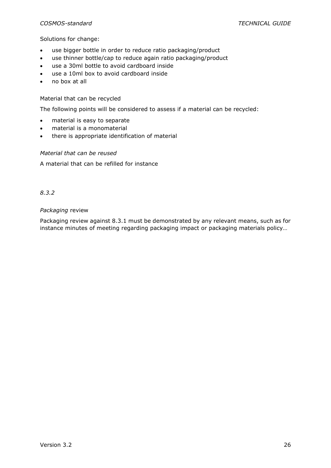#### *COSMOS-standard TECHNICAL GUIDE*

#### Solutions for change:

- use bigger bottle in order to reduce ratio packaging/product
- use thinner bottle/cap to reduce again ratio packaging/product
- use a 30ml bottle to avoid cardboard inside
- use a 10ml box to avoid cardboard inside
- no box at all

#### Material that can be recycled

The following points will be considered to assess if a material can be recycled:

- material is easy to separate
- material is a monomaterial
- there is appropriate identification of material

#### *Material that can be reused*

A material that can be refilled for instance

#### *8.3.2*

#### *Packaging* review

Packaging review against 8.3.1 must be demonstrated by any relevant means, such as for instance minutes of meeting regarding packaging impact or packaging materials policy…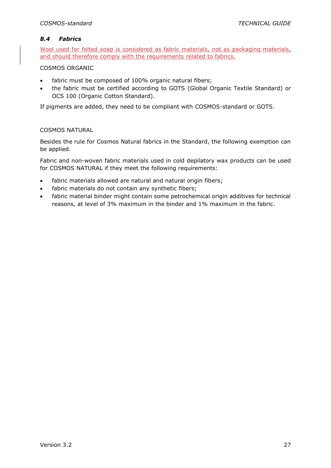#### <span id="page-27-0"></span>*8.4 Fabrics*

Wool used for felted soap is considered as fabric materials, not as packaging materials, and should therefore comply with the requirements related to fabrics.

#### COSMOS ORGANIC

- fabric must be composed of 100% organic natural fibers;
- the fabric must be certified according to GOTS (Global Organic Textile Standard) or OCS 100 (Organic Cotton Standard).

If pigments are added, they need to be compliant with COSMOS-standard or GOTS.

#### COSMOS NATURAL

Besides the rule for Cosmos Natural fabrics in the Standard, the following exemption can be applied.

Fabric and non-woven fabric materials used in cold depilatory wax products can be used for COSMOS NATURAL if they meet the following requirements:

- fabric materials allowed are natural and natural origin fibers;
- fabric materials do not contain any synthetic fibers;
- fabric material binder might contain some petrochemical origin additives for technical reasons, at level of 3% maximum in the binder and 1% maximum in the fabric.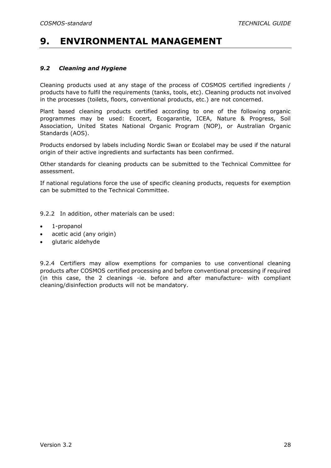### <span id="page-28-1"></span><span id="page-28-0"></span>**9. ENVIRONMENTAL MANAGEMENT**

#### *9.2 Cleaning and Hygiene*

Cleaning products used at any stage of the process of COSMOS certified ingredients / products have to fulfil the requirements (tanks, tools, etc). Cleaning products not involved in the processes (toilets, floors, conventional products, etc.) are not concerned.

Plant based cleaning products certified according to one of the following organic programmes may be used: Ecocert, Ecogarantie, ICEA, Nature & Progress, Soil Association, United States National Organic Program (NOP), or Australian Organic Standards (AOS).

Products endorsed by labels including Nordic Swan or Ecolabel may be used if the natural origin of their active ingredients and surfactants has been confirmed.

Other standards for cleaning products can be submitted to the Technical Committee for assessment.

If national regulations force the use of specific cleaning products, requests for exemption can be submitted to the Technical Committee.

9.2.2 In addition, other materials can be used:

- 1-propanol
- acetic acid (any origin)
- glutaric aldehyde

9.2.4 Certifiers may allow exemptions for companies to use conventional cleaning products after COSMOS certified processing and before conventional processing if required (in this case, the 2 cleanings -ie. before and after manufacture- with compliant cleaning/disinfection products will not be mandatory.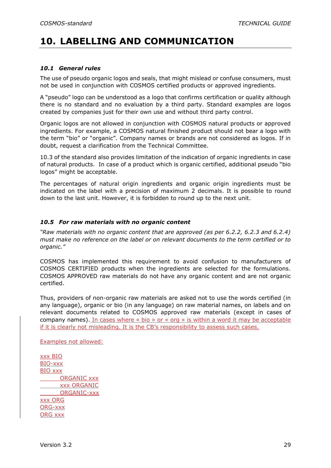### <span id="page-29-1"></span><span id="page-29-0"></span>**10. LABELLING AND COMMUNICATION**

#### *10.1 General rules*

The use of pseudo organic logos and seals, that might mislead or confuse consumers, must not be used in conjunction with COSMOS certified products or approved ingredients.

A "pseudo" logo can be understood as a logo that confirms certification or quality although there is no standard and no evaluation by a third party. Standard examples are logos created by companies just for their own use and without third party control.

Organic logos are not allowed in conjunction with COSMOS natural products or approved ingredients. For example, a COSMOS natural finished product should not bear a logo with the term "bio" or "organic". Company names or brands are not considered as logos. If in doubt, request a clarification from the Technical Committee.

10.3 of the standard also provides limitation of the indication of organic ingredients in case of natural products. In case of a product which is organic certified, additional pseudo "bio logos" might be acceptable.

The percentages of natural origin ingredients and organic origin ingredients must be indicated on the label with a precision of maximum 2 decimals. It is possible to round down to the last unit. However, it is forbidden to round up to the next unit.

#### <span id="page-29-2"></span>*10.5 For raw materials with no organic content*

*"Raw materials with no organic content that are approved (as per 6.2.2, 6.2.3 and 6.2.4) must make no reference on the label or on relevant documents to the term certified or to organic."*

COSMOS has implemented this requirement to avoid confusion to manufacturers of COSMOS CERTIFIED products when the ingredients are selected for the formulations. COSMOS APPROVED raw materials do not have any organic content and are not organic certified.

Thus, providers of non-organic raw materials are asked not to use the words certified (in any language), organic or bio (in any language) on raw material names, on labels and on relevant documents related to COSMOS approved raw materials (except in cases of company names). In cases where « bio » or « org » is within a word it may be acceptable if it is clearly not misleading. It is the CB's responsibility to assess such cases.

Examples not allowed:

xxx BIO BIO-xxx BIO xxx ORGANIC xxx xxx ORGANIC ORGANIC-xxx xxx ORG ORG-xxx ORG xxx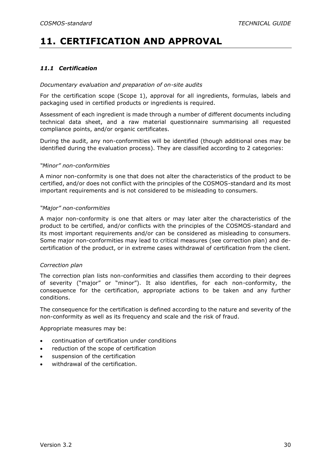### <span id="page-30-1"></span><span id="page-30-0"></span>**11. CERTIFICATION AND APPROVAL**

#### *11.1 Certification*

#### *Documentary evaluation and preparation of on-site audits*

For the certification scope (Scope 1), approval for all ingredients, formulas, labels and packaging used in certified products or ingredients is required.

Assessment of each ingredient is made through a number of different documents including technical data sheet, and a raw material questionnaire summarising all requested compliance points, and/or organic certificates.

During the audit, any non-conformities will be identified (though additional ones may be identified during the evaluation process). They are classified according to 2 categories:

#### *"Minor" non-conformities*

A minor non-conformity is one that does not alter the characteristics of the product to be certified, and/or does not conflict with the principles of the COSMOS-standard and its most important requirements and is not considered to be misleading to consumers.

#### *"Major" non-conformities*

A major non-conformity is one that alters or may later alter the characteristics of the product to be certified, and/or conflicts with the principles of the COSMOS-standard and its most important requirements and/or can be considered as misleading to consumers. Some major non-conformities may lead to critical measures (see correction plan) and decertification of the product, or in extreme cases withdrawal of certification from the client.

#### *Correction plan*

The correction plan lists non-conformities and classifies them according to their degrees of severity ("major" or "minor"). It also identifies, for each non-conformity, the consequence for the certification, appropriate actions to be taken and any further conditions.

The consequence for the certification is defined according to the nature and severity of the non-conformity as well as its frequency and scale and the risk of fraud.

Appropriate measures may be:

- continuation of certification under conditions
- reduction of the scope of certification
- suspension of the certification
- withdrawal of the certification.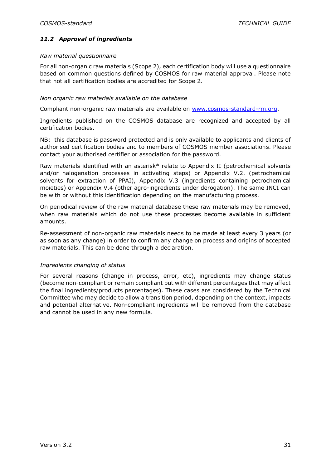#### <span id="page-31-0"></span>*11.2 Approval of ingredients*

#### *Raw material questionnaire*

For all non-organic raw materials (Scope 2), each certification body will use a questionnaire based on common questions defined by COSMOS for raw material approval. Please note that not all certification bodies are accredited for Scope 2.

#### *Non organic raw materials available on the database*

Compliant non-organic raw materials are available on [www.cosmos-standard-rm.org.](http://www.cosmos-standard-rm.org/)

Ingredients published on the COSMOS database are recognized and accepted by all certification bodies.

NB: this database is password protected and is only available to applicants and clients of authorised certification bodies and to members of COSMOS member associations. Please contact your authorised certifier or association for the password.

Raw materials identified with an asterisk\* relate to Appendix II (petrochemical solvents and/or halogenation processes in activating steps) or Appendix V.2. (petrochemical solvents for extraction of PPAI), Appendix V.3 (ingredients containing petrochemical moieties) or Appendix V.4 (other agro-ingredients under derogation). The same INCI can be with or without this identification depending on the manufacturing process.

On periodical review of the raw material database these raw materials may be removed, when raw materials which do not use these processes become available in sufficient amounts.

Re-assessment of non-organic raw materials needs to be made at least every 3 years (or as soon as any change) in order to confirm any change on process and origins of accepted raw materials. This can be done through a declaration.

#### *Ingredients changing of status*

For several reasons (change in process, error, etc), ingredients may change status (become non-compliant or remain compliant but with different percentages that may affect the final ingredients/products percentages). These cases are considered by the Technical Committee who may decide to allow a transition period, depending on the context, impacts and potential alternative. Non-compliant ingredients will be removed from the database and cannot be used in any new formula.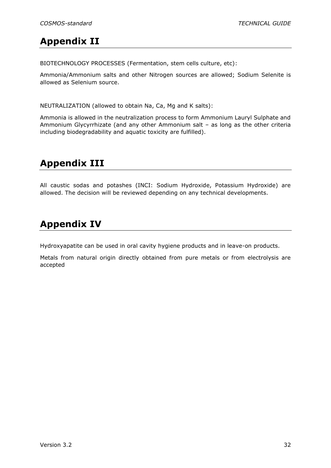### <span id="page-32-0"></span>**Appendix II**

BIOTECHNOLOGY PROCESSES (Fermentation, stem cells culture, etc):

Ammonia/Ammonium salts and other Nitrogen sources are allowed; Sodium Selenite is allowed as Selenium source.

NEUTRALIZATION (allowed to obtain Na, Ca, Mg and K salts):

Ammonia is allowed in the neutralization process to form Ammonium Lauryl Sulphate and Ammonium Glycyrrhizate (and any other Ammonium salt – as long as the other criteria including biodegradability and aquatic toxicity are fulfilled).

### <span id="page-32-1"></span>**Appendix III**

All caustic sodas and potashes (INCI: Sodium Hydroxide, Potassium Hydroxide) are allowed. The decision will be reviewed depending on any technical developments.

### <span id="page-32-2"></span>**Appendix IV**

Hydroxyapatite can be used in oral cavity hygiene products and in leave-on products.

Metals from natural origin directly obtained from pure metals or from electrolysis are accepted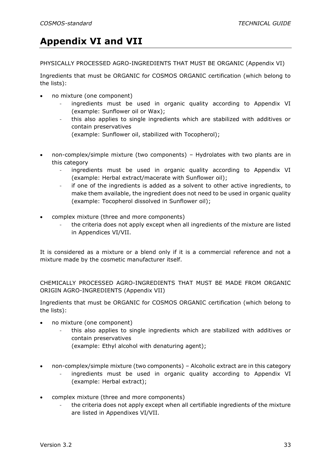### <span id="page-33-0"></span>**Appendix VI and VII**

PHYSICALLY PROCESSED AGRO-INGREDIENTS THAT MUST BE ORGANIC (Appendix VI)

Ingredients that must be ORGANIC for COSMOS ORGANIC certification (which belong to the lists):

- no mixture (one component)
	- ingredients must be used in organic quality according to Appendix VI (example: Sunflower oil or Wax);
	- this also applies to single ingredients which are stabilized with additives or contain preservatives
		- (example: Sunflower oil, stabilized with Tocopherol);
- non-complex/simple mixture (two components) Hydrolates with two plants are in this category
	- ingredients must be used in organic quality according to Appendix VI (example: Herbal extract/macerate with Sunflower oil);
	- if one of the ingredients is added as a solvent to other active ingredients, to make them available, the ingredient does not need to be used in organic quality (example: Tocopherol dissolved in Sunflower oil);
- complex mixture (three and more components)
	- the criteria does not apply except when all ingredients of the mixture are listed in Appendices VI/VII.

It is considered as a mixture or a blend only if it is a commercial reference and not a mixture made by the cosmetic manufacturer itself.

CHEMICALLY PROCESSED AGRO-INGREDIENTS THAT MUST BE MADE FROM ORGANIC ORIGIN AGRO-INGREDIENTS (Appendix VII)

Ingredients that must be ORGANIC for COSMOS ORGANIC certification (which belong to the lists):

- no mixture (one component)
	- this also applies to single ingredients which are stabilized with additives or contain preservatives
		- (example: Ethyl alcohol with denaturing agent);
- non-complex/simple mixture (two components) Alcoholic extract are in this category
	- ingredients must be used in organic quality according to Appendix VI (example: Herbal extract);
- complex mixture (three and more components)
	- the criteria does not apply except when all certifiable ingredients of the mixture are listed in Appendixes VI/VII.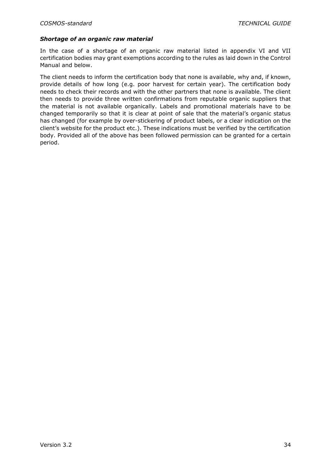#### *Shortage of an organic raw material*

In the case of a shortage of an organic raw material listed in appendix VI and VII certification bodies may grant exemptions according to the rules as laid down in the Control Manual and below.

The client needs to inform the certification body that none is available, why and, if known, provide details of how long (e.g. poor harvest for certain year). The certification body needs to check their records and with the other partners that none is available. The client then needs to provide three written confirmations from reputable organic suppliers that the material is not available organically. Labels and promotional materials have to be changed temporarily so that it is clear at point of sale that the material's organic status has changed (for example by over-stickering of product labels, or a clear indication on the client's website for the product etc.). These indications must be verified by the certification body. Provided all of the above has been followed permission can be granted for a certain period.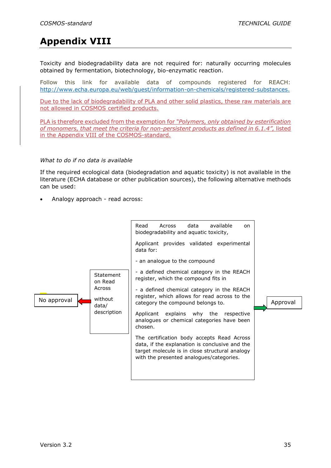### <span id="page-35-0"></span>**Appendix VIII**

Toxicity and biodegradability data are not required for: naturally occurring molecules obtained by fermentation, biotechnology, bio-enzymatic reaction.

Follow this link for available data of compounds registered for REACH: [http://www.echa.europa.eu/web/guest/information-on-chemicals/registered-substances.](http://www.echa.europa.eu/web/guest/information-on-chemicals/registered-substances)

Due to the lack of biodegradability of PLA and other solid plastics, these raw materials are not allowed in COSMOS certified products.

PLA is therefore excluded from the exemption for *"Polymers, only obtained by esterification of monomers, that meet the criteria for non-persistent products as defined in 6.1.4",* listed in the Appendix VIII of the COSMOS-standard.

#### *What to do if no data is available*

If the required ecological data (biodegradation and aquatic toxicity) is not available in the literature (ECHA database or other publication sources), the following alternative methods can be used:

• Analogy approach - read across:

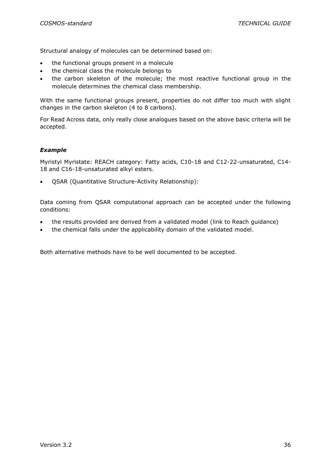Structural analogy of molecules can be determined based on:

- the functional groups present in a molecule
- the chemical class the molecule belongs to
- the carbon skeleton of the molecule; the most reactive functional group in the molecule determines the chemical class membership.

With the same functional groups present, properties do not differ too much with slight changes in the carbon skeleton (4 to 8 carbons).

For Read Across data, only really close analogues based on the above basic criteria will be accepted.

#### *Example*

Myristyl Myristate: REACH category: Fatty acids, C10-18 and C12-22-unsaturated, C14- 18 and C16-18-unsaturated alkyl esters.

• QSAR (Quantitative Structure-Activity Relationship):

Data coming from QSAR computational approach can be accepted under the following conditions:

- the results provided are derived from a validated model [\(link](http://echa.europa.eu/documents/10162/13632/information_requirements_r6_en.pdf) to Reach guidance)
- the chemical falls under the applicability domain of the validated model.

Both alternative methods have to be well documented to be accepted.